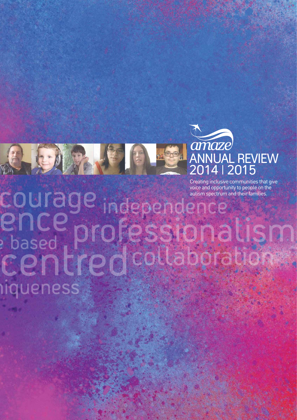

Creating inclusive communities that give voice and opportunity to people on the autism spectrum and their families.

# courage <u>en</u> based  $\overline{\phantom{0}}$ **IIqueness**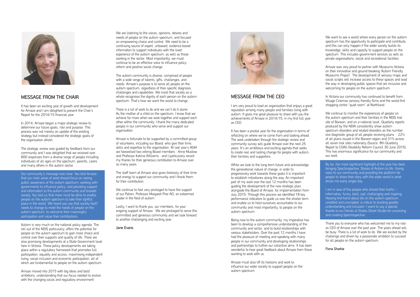

#### MESSAGE FROM THE CHAIR

It has been an exciting year of growth and development for Amaze and I am delighted to present the Chair's Report for the 2014/15 financial year.

In 2014, Amaze began a major strategic review to determine our future goals, role and purpose. This process was not merely an update of the existing strategy but instead considered the strategic goals of the organisation afresh.

The strategic review was guided by feedback from our community and I was delighted that we received over 600 responses from a diverse range of people including individuals of all ages on the spectrum, parents, carers and many others in the autism sector.

Our community's message was clear. You told Amaze that our main areas of work should focus on raising public awareness of the autism spectrum; working with governments to influence policy; and providing support and information to the autism community and broader society. You told us that more must be done to enable people on the autism spectrum to take their rightful place in the world. We heard you say that society itself needs to change to meet the needs of people on the autism spectrum, to welcome their meaningful participation and value their contributions.

Autism is very much on the national policy agenda. The roll out of the NDIS particularly, offers the potential for people on the autism spectrum to gain more choice and control over their supports and quality of life. There are also promising developments at a State Government level here in Victoria. These policy developments are taking place within a regulatory framework that promotes full participation, equality and access, maximising independent living, social inclusion and economic participation, all of which are fundamental to people on the autism spectrum.

Amaze moved into 2015 with big ideas and bold ambitions, understanding that our focus needed to evolve with the changing social and regulatory environment.

#### MESSAGE FROM THE CEO

I am very proud to lead an organisation that enjoys a great reputation among many people and families living with autism. It gives me great pleasure to share with you the achievements of Amaze in 2014/15, in my first full year as CEO.

It has been a pivotal year for the organisation in terms of reflecting on where we've come from and looking ahead. The work undertaken through the strategic review and community survey will guide Amaze over the next 25 years. It's an ambitious and exciting agenda that seeks to create real and lasting change for people with autism, their families and supporters.

We continue to feel very privileged to have the support of our Patron, Professor Margaret Prior AO, an esteemed leader in the field of autism.

While we look to the long-term future and acknowledge the generational nature of change, in order to progressively work towards these goals it is important to establish milestones along the way. An important part of my work over the last 12 months has been guiding the development of the new strategic plan, alongside the Board of Amaze, for implementation from July 2015. Through this process we identified 18 key performance indicators to guide us over the shorter term and enable us to hold ourselves accountable to our community and most importantly, to people on the autism spectrum.

We want to see a world where every person on the autism spectrum has the opportunity to participate and contribute, and this can only happen if the wider society builds its knowledge, skills and capacity to support people on the spectrum. This includes government services as well as private organisations, social and recreational facilities.

Being new to the autism community, my imperative has been to develop a comprehensive understanding of the community and sector, and to build relationships with various stakeholders. Over the past 12 months I have had the pleasure of meeting and speaking with many people in our community and developing relationships and partnerships to further our collective aims. It has been wonderful to hear great feedback about Amaze from those wanting to work with us.

Amaze must also lift its horizons and work to influence our wider society to support people on the autism spectrum.

We are listening to the voices, opinions, desires and needs of people on the autism spectrum, and focused on empowering choice and control. We need to be a continuing source of expert, unbiased, evidence-based information to support individuals with the lived experience of the autism spectrum, as well as those working in the sector. Most importantly, we must continue to be an effective voice to influence policy reform and positive social change.

The autism community is diverse, comprised of people with a wide range of talents, gifts, challenges, and needs. Amaze's purpose is to serve all people on the autism spectrum, regardless of their specific diagnosis, challenges and capabilities. We insist that society as a whole recognises the dignity of each person on the autism spectrum. That's how we want the world to change.

There is a lot of work to do and we can't do it alone. As the mother of a child on the spectrum, I know that we achieve far more when we work together and support each other within the community. I thank the many dedicated people in our community who serve and support our organisation.

Amaze is fortunate to be supported by a committed group of volunteers, including our Board, who give their time, skills and expertise to the organisation. At last year's AGM we farewelled two retiring Board members - Anne Mustow and Professor Katrina Williams - and I particularly record my thanks for their generous contribution to Amaze over so many years.

The staff team at Amaze also gives tirelessly of their time and energy to support our community and I thank them for their contribution.

Lastly, I want to thank you, our members, for your ongoing support of Amaze. We are privileged to serve this committed and generous community and we look forward to another challenging and exciting year.

#### Jane Evans



Amaze was very proud to partner with Museums Victoria on their innovative and ground-breaking 'Autism Friendly Museums Project'. The development of sensory maps and social scripts will increase access to these spaces and lead the way in developing public spaces that are inclusive and welcoming for people on the autism spectrum.

In Victoria our community has continued to benefit from Village Cinemas sensory friendly films and the world-first shopping centre "quiet room" at Northland.

We continue to monitor the experiences of people on the autism spectrum and their families in the NDIS trial site of Barwon, and on a national level. Quarterly reports produced by the NDIA consistently show autism spectrum disorders and related disorders as the number one diagnostic group of all people receiving plans - 22% of all plans issued in the Barwon region and 31% across all seven trial sites nationally (Source: 8th Quarterly Report to COAG Disability Reform Council 30 June 2015). This has enormous significance for our community and our work.

By far, the most significant highlight of the year has been bringing Spectrospective: Stories of Autism to life. Giving voice to our community and providing the platform for people to share their story with the wider world is what drives me every single day.

I am in awe of the people who shared their truths – informative, funny, bold, sad, challenging and inspiring. Hearing first-hand about life on the autism spectrum, unedited and unscripted, is critical to building greater understanding and inclusion. I want to say a special thanks to our friends at Stokes Street Studio for conceiving and creating Spectrospective.

Thank you to everyone who has welcomed me to my role as CEO of Amaze over the past year. The years ahead will be busy. There is a lot of work to do. We are excited by the challenge and driven by a passionate ambition to succeed for all people on the autism spectrum.

#### Fiona Sharkie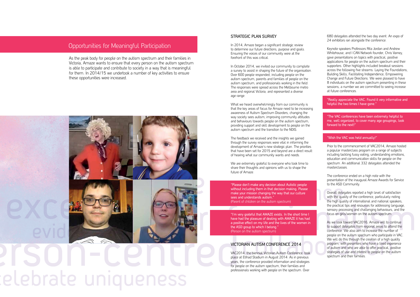"Really appreciate the VAC. Found it very informative and helpful the two times I have gone."

Keynote speakers Professors Rita Jordan and Andrew Whitehouse, and I CAN Network founder, Chris Varney, gave presentations on topics with practical, positive applications for people on the autism spectrum and their supporters. Other highlights included breakout sessions across the following five streams: Laying the Foundations, Building Skills, Facilitating Independence, Empowering Change and Future Directions. We were pleased to have 8 individuals on the autism spectrum presenting in these sessions; a number we are committed to seeing increase at future conferences.

"The VAC conferences have been extremely helpful to me, well organized, to cover many age groupings, look forward to the next!"

#### "Wish the VAC was held annually!"

Prior to the commencement of VAC2014, Amaze hosted a popular masterclass program on a range of subjects including tackling fussy eating, understanding emotions, education and communication skills for people on the spectrum. An additional 332 delegates attended the masterclasses.

The conference ended on a high note with the presentation of the inaugural Amaze Awards for Service to the ASD Community.

Overall delegates reported a high level of satisfaction with the quality of the conference, particularly noting the high quality of international and national speakers, the practical tips and resources for addressing language, sensory processing and challenging behaviours, and the focus on girls/women on the autism spectrum.

What we heard overwhelmingly from our community is that the key areas of focus for Amaze need to be increasing awareness of Autism Spectrum Disorders, changing the way society sees autism, improving community attitudes and behaviours towards people on the autism spectrum, providing support and skill development to people on the autism spectrum and the transition to the NDIS.

> As we look toward VAC2016, Amaze will to continue to support delegates from regional areas to attend the conference. We also aim to increase the number of people on the autism spectrum who participate in VAC. We will do this through the creation of a high quality program, with presenters who have a lived experience of autism and who are able to offer practical, positive strategies of use and interest to people on the autism spectrum and their families.

We are extremely grateful to everyone who took time to share their thoughts and opinions with us to shape the future of Amaze.

# Opportunities for Meaningful Participation

As the peak body for people on the autism spectrum and their families in Victoria, Amaze wants to ensure that every person on the autism spectrum is able to participate and contribute to society in a way that is meaningful for them. In 2014/15 we undertook a number of key activities to ensure these opportunities were increased.



# elebrate uniqueness

#### STRATEGIC PLAN SURVEY

In 2014, Amaze began a significant strategic review to determine our future directions, purpose and goals. Ensuring the voices of our community were at the forefront of this was critical.

In October 2014, we invited our community to complete a survey to assist in shaping the future of the organisation. Over 600 people responded, including people on the autism spectrum, parents and families of people on the autism spectrum, and professionals working in the field. The responses were spread across the Melbourne metro area and regional Victoria, and represented a diverse age range.

The feedback we received and the insights we gained through the survey responses were vital in informing the development of Amaze's new strategic plan. The priorities that have been set for 2015 and beyond are a direct result of hearing what our community wants and needs.

"Please don't make any decision about Autistic people without including them in that decision making. Please make your mission changing the way that our culture sees and understands autism." (Parent of children on the autism spectrum)

"I'm very grateful that AMAZE exists. In the short time I have had the pleasure of dealing with AMAZE it has had a positive effect on my life and the lives of the women in the ASD group to which I belong." (Person on the autism spectrum)

#### VICTORIAN AUTISM CONFERENCE 2014

VAC2014, the biennial Victorian Autism Conference, took place at Etihad Stadium in August 2014. As in previous years, the conference provided information and strategies for people on the autism spectrum, their families and professionals working with people on the spectrum. Over

680 delegates attended the two day event. An expo of 24 exhibitors ran alongside the conference.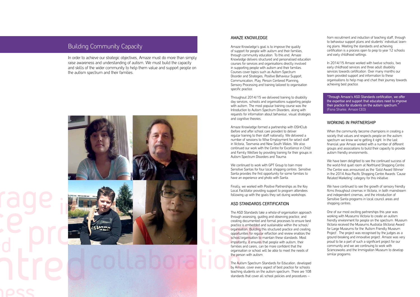#### AMAZE KNOWLEDGE

Amaze Knowledge's goal is to improve the quality of support for people with autism and their families, through community education. To this end, Amaze Knowledge delivers structured and personalised education courses for services and organisations directly involved in supporting people with autism and their families. Courses cover topics such as Autism Spectrum Disorder and Strategies, Positive Behaviour Support, Communication, Play, Person Centered Planning, Sensory Processing and training tailored to organisation specific practice.

Throughout 2014/15 we delivered training to disability day services, schools and organisations supporting people with autism. The most popular training course was the Introduction to Autism Spectrum Disorders, along with requests for information about behaviour, visual strategies and cognitive theories.

We continued to work with GPT Group to train more Sensitive Santas for four local shopping centres. Sensitive Santa provides the first opportunity for some families to have an experience and photo with Santa.

Amaze Knowledge formed a partnership with OSHClub (before and after school care provider) to deliver regular training to their staff nationally. We delivered a number of sessions to Wise Employment for select staff in Victoria, Tasmania and New South Wales. We also continued our work with the Centre for Excellence in Child and Family Welfare by providing training for their groups in Autism Spectrum Disorders and Trauma.

Finally, we worked with Positive Partnerships as the Key Local Facilitator providing support to program attendees following up with the goals they set during workshops.

#### ASD STANDARDS CERTIFICATION

When the community become champions in creating a society that values and respects people on the autism spectrum we know we're getting it right. In the last financial year Amaze worked with a number of different groups and associations to build their capacity to provide autism friendly environments.

We have been delighted to see the continued success of the world-first quiet room at Northland Shopping Centre. The Centre was announced as the 'Gold Award Winner' in the 2014 Asia Pacific Shopping Centre Awards 'Cause Related Marketing' category for this initiative.

The ASD Standards take a whole-of-organisation approach through assessing, guiding and observing practice, and creating documented and formal processes to ensure best practice is embedded and sustainable within the school/ organisation. Building this structured practice and creating opportunities for regular reflection and review enables the school/organisation to maintain these standards. Most importantly, it ensures that people with autism, their families and carers, can be more confident that the organisation or school will be able to meet the needs of the person with autism.

We have continued to see the growth of sensory friendly films throughout cinemas in Victoria, in both mainstream and independent cinemas, and the introduction of Sensitive Santa programs in local council areas and shopping centres.

The Autism Spectrum Standards for Education, developed by Amaze, cover every aspect of best practice for schools teaching students on the autism spectrum. There are 108 standards that cover all school policies and procedures –

from recruitment and induction of teaching staff, through to behaviour support plans and students' individual learning plans. Meeting the standards and achieving certification is a process open to prep to year 12 schools and early childhood settings.

In 2014/15 Amaze worked with twelve schools, two early childhood services and three adult disability services towards certification. Over many months our team provided support and information to these organisations to help map and chart their journey towards achieving best practice.

"Through Amaze's ASD Standards certification, we offer the expertise and support that educators need to improve their practice for students on the autism spectrum." (Fiona Sharkie, Amaze CEO)

#### WORKING IN PARTNERSHIP

One of our most exciting partnerships this year was working with Museums Victoria to create an autism friendly environment for people on the spectrum. Museum Victoria received the Museums Australia (Victoria) Award for Large Museums for the 'Autism Friendly Museum Project'. The project was recognised by the judges as a ground-breaking and innovative project. Amaze was very proud to be a part of such a significant project for our community and we are continuing to work with Scienceworks and the Immigration Museum to develop similar programs.

# Building Community Capacity

In order to achieve our strategic objectives, Amaze must do more than simply raise awareness and understanding of autism. We must build the capacity and skills of the wider community to help them value and support people on the autism spectrum and their families.

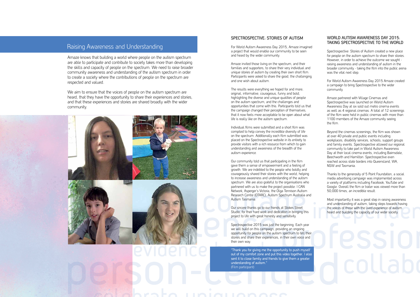#### SPECTROSPECTIVE: STORIES OF AUTISM

For World Autism Awareness Day 2015, Amaze imagined a project that would enable our community to be seen and heard by the wider community.

Amaze invited those living on the spectrum, and their families and supporters, to share their very individual and unique stories of autism by creating their own short film. Participants were asked to share the good, the challenging and one wish about autism.

The results were everything we hoped for and more; original, informative, courageous, funny and bold, highlighting the diverse and unique qualities of people on the autism spectrum, and the challenges and opportunities that come with this. Participants told us that the campaign changed their perception of themselves, that it now feels more acceptable to be open about what life is really like on the autism spectrum.

Individual films were submitted and a short film was compiled to help convey the incredible diversity of life on the spectrum. Additionally each film submitted was placed on the Spectrospective website in its entirety to provide visitors with a rich resource from which to gain understanding and awareness of the breadth of the autism experience.

"Thank you for giving me the opportunity to push myself out of my comfort zone and put this video together. I also sent it to close family and friends to give them a greater understanding of autism." (Film participant)

Our community told us that participating in the film gave them a sense of empowerment and a feeling of growth. We are indebted to the people who boldly and courageously shared their stories with the world, helping to increase awareness and understanding of the autism spectrum. We are also grateful to the organisations who partnered with us to make the project possible: I CAN Network, Asperger's Victoria, the Olga Tennison Autism Research Centre (OTARC), Autism Spectrum Australia and Autism Tasmania.

Our sincere thanks go to our friends at Stokes Street Studio, for their hard work and dedication in bringing this project to life with great honesty and sensitivity.

Spectrospective 2015 was just the beginning. Each year we will build on this campaign, providing an ongoing opportunity for people on the autism spectrum to tell their stories and share their experiences, in their own voice and their own way.

We aim to ensure that the voices of people on the autism spectrum are heard, that they have the opportunity to share their experiences and stories, and that these experiences and stories are shared broadly with the wider community.



#### WORLD AUTISM AWARENESS DAY 2015: TAKING SPECTROSPECTIVE TO THE WORLD

Spectrospective: Stories of Autism created a new place for people on the autism spectrum to share their stories. However, in order to achieve the outcome we sought raising awareness and understanding of autism in the broader community - taking the film into the public arena was the vital next step.

For World Autism Awareness Day 2015 Amaze created a campaign to bring Spectrospective to the wider community.

Amaze partnered with Village Cinemas and Spectrospective was launched on World Autism Awareness Day at six sold out metro cinema events as well as 4 regional cinemas. A total of 12 screenings of the film were held in public cinemas with more than 1100 members of the Amaze community seeing the film.

Beyond the cinemas screenings, the film was shown at over 40 private and public events including workplaces, disability services, schools, support groups and family events. Spectrospective allowed our regional community to take part in World Autism Awareness Day at their local cinema events, including Bairnsdale, Beechworth and Hamilton. Spectrospective even reached across state borders into Queensland, WA, NSW and Tasmania.

Thanks to the generosity of 5 Point Foundation, a social media advertising campaign was implemented across a variety of platforms including Facebook, YouTube and Google. Overall the film or trailer was viewed more than 50,000 times, an incredible result.

Most importantly it was a great step in raising awareness and understanding of autism, taking steps towards having the voices of those with the lived experience of autism heard and building the capacity of our wider society.

## Raising Awareness and Understanding

Amaze knows that building a world where people on the autism spectrum are able to participate and contribute to society takes more than developing the skills and capacity of people on the spectrum. We need to raise broader community awareness and understanding of the autism spectrum in order to create a society where the contributions of people on the spectrum are respected and valued.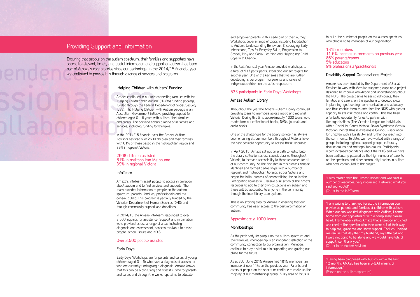#### 'Helping Children with Autism' Funding

Amaze continued in our role connecting families with the 'Helping Children with Autism' (HCWA) funding package, funded through the Federal Department of Social Security (DSS). The Helping Children with Autism package is an Australian Government initiative providing support for children aged  $0 - 6$  years with autism, their families and carers. The package covers a range of initiatives and services, including funding for therapies.

In the 2014/15 financial year the Amaze Autism Advisors assisted over 2600 children and their families with 61% of these based in the metropolitan region and 39% in regional Victoria.

#### 2608 children assisted 61% in metropolitan Melbourne 39% in regional Victoria

#### InfoTeam

Amaze's InfoTeam assist people to access information about autism and to find services and supports. The team provides information to people on the autism spectrum, parents, families, professionals and the general public. This program is partially funded by the Victorian Department of Human Services (DHS) and through community support and donations.

In 2014/15 the Amaze InfoTeam responded to over 3,500 inquiries for assistance. Support and information were provided across a range of areas including diagnosis and assessment, services available to assist people, school issues and NDIS.

#### Over 3,500 people assisted

#### Early Days

Early Days Workshops are for parents and carers of young children (aged  $0 - 6$ ) who have a diagnosis of autism, or who are currently undergoing a diagnosis. Amaze knows that this can be a confusing and stressful time for parents and carers and through the workshops aims to educate

and empower parents in this early part of their journey. Workshops cover a range of topics including Introduction to Autism, Understanding Behaviour, Encouraging Early Interactions, Tips for Everyday Skills, Progression to School, Play and Social Learning and Helping my Child Cope with Change.

to build the number of people on the autism spectrum who choose to be members of our organisation.

In the last financial year Amaze provided workshops to a total of 533 participants, exceeding our set targets for another year. One of the key areas that we are further developing is our program for parents and carers of Indigenous children on the autism spectrum.

#### 533 participants in Early Days Workshops

#### Amaze Autism Library

Throughout the year the Amaze Autism Library continued providing loans to members across metro and regional Victoria. During this time approximately 1000 loans were made from our collection of books, DVDs, journals and audio books.

One of the challenges for the library service has always been ensuring all our members throughout Victoria have the best possible opportunity to access these resources.

In April 2015, Amaze set out on a path to redistribute the library collection across council libraries throughout Victoria, to increase accessibility to these resources for all of our community. As the first step in this process Amaze identified and formed partnerships with a number of regional and metropolitan libraries across Victoria and began the initial process of decentralising the collection. Participating libraries will receive a selection of the Amaze resources to add to their own collections on autism and these will be accessible to anyone in the community through the inter-library loan system.

This is an exciting step for Amaze in ensuring that our community has easy access to the best information on autism.

#### Approximately 1000 loans

#### **Memberships**

As the peak body for people on the autism spectrum and their families, membership is an important reflection of the community connection to our organisation. Members continue to play a vital role in supporting and guiding our plans for the future.

As at 30th June 2015 Amaze had 1815 members, an increase of over 11% on the previous year. Parents and carers of people on the spectrum continue to make up the majority of our membership group. A key area of focus is

#### 1815 members 11.6% increase in members on previous year 86% parents/carers 5% educators 9% professionals/practitioners

#### Disability Support Organisations Project

Amaze has been funded by the Department of Social Services to work with Victorian support groups on a project designed to improve knowledge and understanding about the NDIS. The project aims to assist individuals, their families and carers, on the spectrum to develop skills in planning, goal setting, communication and advocacy, and thus enable them to enter into the NDIS with greater capacity to exercise choice and control. This has been a fantastic opportunity for us to partner with like-organisations (The Victorian League for Individuals with a Disability, Carers Victoria, Down Syndrome Victoria, Victorian Mental Illness Awareness Council, Association for Children with a Disability) and further our reach into the community. To date, we have worked with a range of groups including regional support groups, culturally diverse groups and metropolitan groups. Participants report increased confidence about the NDIS and we have been particularly pleased by the high number of parents on the spectrum and other community leaders in autism who have contributed to the project.

"I was treated with the utmost respect and was sent a number of resources, very impressed. Delivered what you said you would!" (Caller to the InfoTeam)

"I am writing to thank you for all the information you provide us parents and families of children with autism. When our son was first diagnosed with Autism, I came home from our appointment with a completely broken heart. I remember calling Amaze that afternoon and cried and cried to the operator who then went out of their way to help me, guide me and show support. That call helped me realise that day that my husband, my little girl and I were not going to be alone and we would have lots of support, so I thank you." (Caller to an Autism Advisor)

"Having been diagnosed with Autism within the last 12 months AMAZE has been a GREAT means of information." (Person on the autism spectrum)

### Providing Support and Information

Ensuring that people on the autism spectrum, their families and supporters have access to relevant, timely and useful information and support on autism has been part of Amaze's core promise since our beginnings. In the 2014/15 financial year we continued to provide this through a range of services and programs.